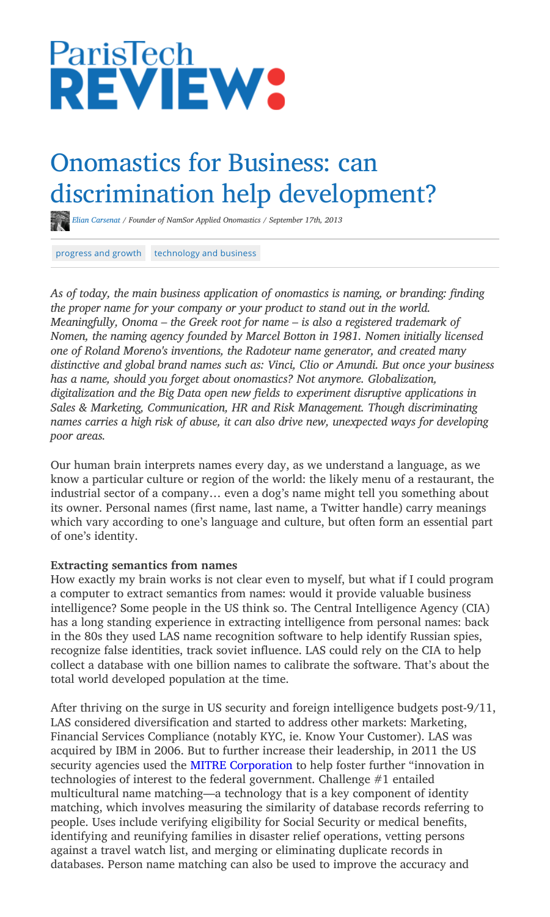

# Onomastics for Business: can discrimination help development?

*Elian Carsenat / Founder of NamSor Applied Onomastics / September 17th, 2013*

progress and growth technology and business

*As of today, the main business application of onomastics is naming, or branding: �nding the proper name for your company or your product to stand out in the world. Meaningfully, Onoma – the Greek root for name – is also a registered trademark of Nomen, the naming agency founded by Marcel Botton in 1981. Nomen initially licensed one of Roland Moreno's inventions, the Radoteur name generator, and created many distinctive and global brand names such as: Vinci, Clio or Amundi. But once your business has a name, should you forget about onomastics? Not anymore. Globalization, digitalization and the Big Data open new �elds to experiment disruptive applications in Sales & Marketing, Communication, HR and Risk Management. Though discriminating names carries a high risk of abuse, it can also drive new, unexpected ways for developing poor areas.*

Our human brain interprets names every day, as we understand a language, as we know a particular culture or region of the world: the likely menu of a restaurant, the industrial sector of a company… even a dog's name might tell you something about its owner. Personal names (first name, last name, a Twitter handle) carry meanings which vary according to one's language and culture, but often form an essential part of one's identity.

### **Extracting semantics from names**

How exactly my brain works is not clear even to myself, but what if I could program a computer to extract semantics from names: would it provide valuable business intelligence? Some people in the US think so. The Central Intelligence Agency (CIA) has a long standing experience in extracting intelligence from personal names: back in the 80s they used LAS name recognition software to help identify Russian spies, recognize false identities, track soviet in�uence. LAS could rely on the CIA to help collect a database with one billion names to calibrate the software. That's about the total world developed population at the time.

After thriving on the surge in US security and foreign intelligence budgets post-9/11, LAS considered diversification and started to address other markets: Marketing, Financial Services Compliance (notably KYC, ie. Know Your Customer). LAS was acquired by IBM in 2006. But to further increase their leadership, in 2011 the US security agencies used the MITRE Corporation to help foster further "innovation in technologies of interest to the federal government. Challenge #1 entailed multicultural name matching—a technology that is a key component of identity matching, which involves measuring the similarity of database records referring to people. Uses include verifying eligibility for Social Security or medical bene�ts, identifying and reunifying families in disaster relief operations, vetting persons against a travel watch list, and merging or eliminating duplicate records in databases. Person name matching can also be used to improve the accuracy and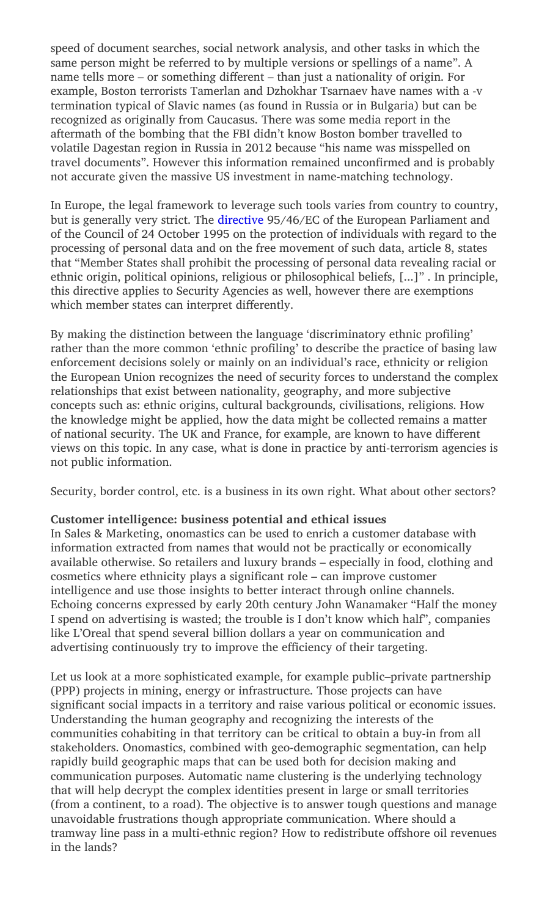speed of document searches, social network analysis, and other tasks in which the same person might be referred to by multiple versions or spellings of a name". A name tells more – or something different – than just a nationality of origin. For example, Boston terrorists Tamerlan and Dzhokhar Tsarnaev have names with a -v termination typical of Slavic names (as found in Russia or in Bulgaria) but can be recognized as originally from Caucasus. There was some media report in the aftermath of the bombing that the FBI didn't know Boston bomber travelled to volatile Dagestan region in Russia in 2012 because "his name was misspelled on travel documents". However this information remained uncon�rmed and is probably not accurate given the massive US investment in name-matching technology.

In Europe, the legal framework to leverage such tools varies from country to country, but is generally very strict. The directive 95/46/EC of the European Parliament and of the Council of 24 October 1995 on the protection of individuals with regard to the processing of personal data and on the free movement of such data, article 8, states that "Member States shall prohibit the processing of personal data revealing racial or ethnic origin, political opinions, religious or philosophical beliefs, [...]" . In principle, this directive applies to Security Agencies as well, however there are exemptions which member states can interpret differently.

By making the distinction between the language 'discriminatory ethnic profiling' rather than the more common 'ethnic profiling' to describe the practice of basing law enforcement decisions solely or mainly on an individual's race, ethnicity or religion the European Union recognizes the need of security forces to understand the complex relationships that exist between nationality, geography, and more subjective concepts such as: ethnic origins, cultural backgrounds, civilisations, religions. How the knowledge might be applied, how the data might be collected remains a matter of national security. The UK and France, for example, are known to have di�erent views on this topic. In any case, what is done in practice by anti-terrorism agencies is not public information.

Security, border control, etc. is a business in its own right. What about other sectors?

## **Customer intelligence: business potential and ethical issues**

In Sales & Marketing, onomastics can be used to enrich a customer database with information extracted from names that would not be practically or economically available otherwise. So retailers and luxury brands – especially in food, clothing and cosmetics where ethnicity plays a signi�cant role – can improve customer intelligence and use those insights to better interact through online channels. Echoing concerns expressed by early 20th century John Wanamaker "Half the money I spend on advertising is wasted; the trouble is I don't know which half", companies like L'Oreal that spend several billion dollars a year on communication and advertising continuously try to improve the efficiency of their targeting.

Let us look at a more sophisticated example, for example public–private partnership (PPP) projects in mining, energy or infrastructure. Those projects can have significant social impacts in a territory and raise various political or economic issues. Understanding the human geography and recognizing the interests of the communities cohabiting in that territory can be critical to obtain a buy-in from all stakeholders. Onomastics, combined with geo-demographic segmentation, can help rapidly build geographic maps that can be used both for decision making and communication purposes. Automatic name clustering is the underlying technology that will help decrypt the complex identities present in large or small territories (from a continent, to a road). The objective is to answer tough questions and manage unavoidable frustrations though appropriate communication. Where should a tramway line pass in a multi-ethnic region? How to redistribute offshore oil revenues in the lands?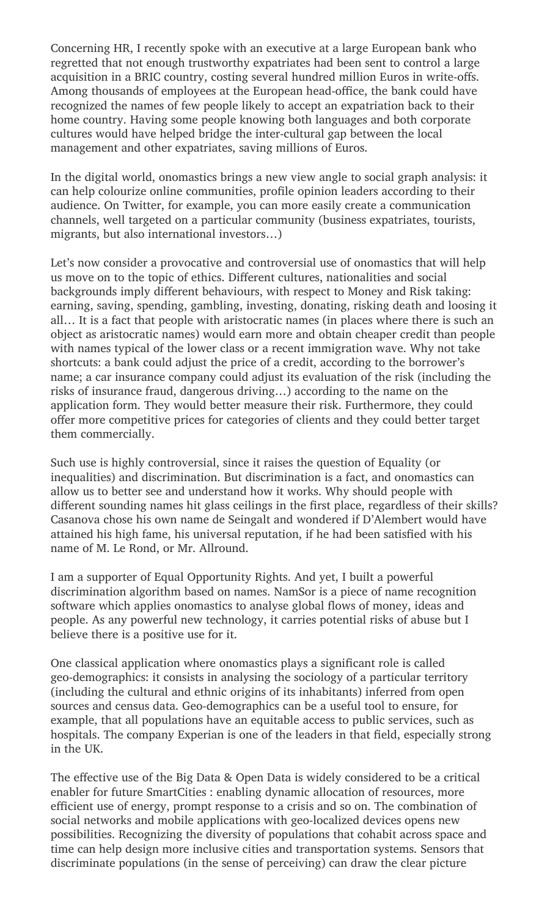Concerning HR, I recently spoke with an executive at a large European bank who regretted that not enough trustworthy expatriates had been sent to control a large acquisition in a BRIC country, costing several hundred million Euros in write-offs. Among thousands of employees at the European head-office, the bank could have recognized the names of few people likely to accept an expatriation back to their home country. Having some people knowing both languages and both corporate cultures would have helped bridge the inter-cultural gap between the local management and other expatriates, saving millions of Euros.

In the digital world, onomastics brings a new view angle to social graph analysis: it can help colourize online communities, profile opinion leaders according to their audience. On Twitter, for example, you can more easily create a communication channels, well targeted on a particular community (business expatriates, tourists, migrants, but also international investors…)

Let's now consider a provocative and controversial use of onomastics that will help us move on to the topic of ethics. Different cultures, nationalities and social backgrounds imply different behaviours, with respect to Money and Risk taking: earning, saving, spending, gambling, investing, donating, risking death and loosing it all… It is a fact that people with aristocratic names (in places where there is such an object as aristocratic names) would earn more and obtain cheaper credit than people with names typical of the lower class or a recent immigration wave. Why not take shortcuts: a bank could adjust the price of a credit, according to the borrower's name; a car insurance company could adjust its evaluation of the risk (including the risks of insurance fraud, dangerous driving…) according to the name on the application form. They would better measure their risk. Furthermore, they could offer more competitive prices for categories of clients and they could better target them commercially.

Such use is highly controversial, since it raises the question of Equality (or inequalities) and discrimination. But discrimination is a fact, and onomastics can allow us to better see and understand how it works. Why should people with different sounding names hit glass ceilings in the first place, regardless of their skills? Casanova chose his own name de Seingalt and wondered if D'Alembert would have attained his high fame, his universal reputation, if he had been satisfied with his name of M. Le Rond, or Mr. Allround.

I am a supporter of Equal Opportunity Rights. And yet, I built a powerful discrimination algorithm based on names. NamSor is a piece of name recognition software which applies onomastics to analyse global flows of money, ideas and people. As any powerful new technology, it carries potential risks of abuse but I believe there is a positive use for it.

One classical application where onomastics plays a signi�cant role is called geo-demographics: it consists in analysing the sociology of a particular territory (including the cultural and ethnic origins of its inhabitants) inferred from open sources and census data. Geo-demographics can be a useful tool to ensure, for example, that all populations have an equitable access to public services, such as hospitals. The company Experian is one of the leaders in that field, especially strong in the UK.

The effective use of the Big Data & Open Data is widely considered to be a critical enabler for future SmartCities : enabling dynamic allocation of resources, more efficient use of energy, prompt response to a crisis and so on. The combination of social networks and mobile applications with geo-localized devices opens new possibilities. Recognizing the diversity of populations that cohabit across space and time can help design more inclusive cities and transportation systems. Sensors that discriminate populations (in the sense of perceiving) can draw the clear picture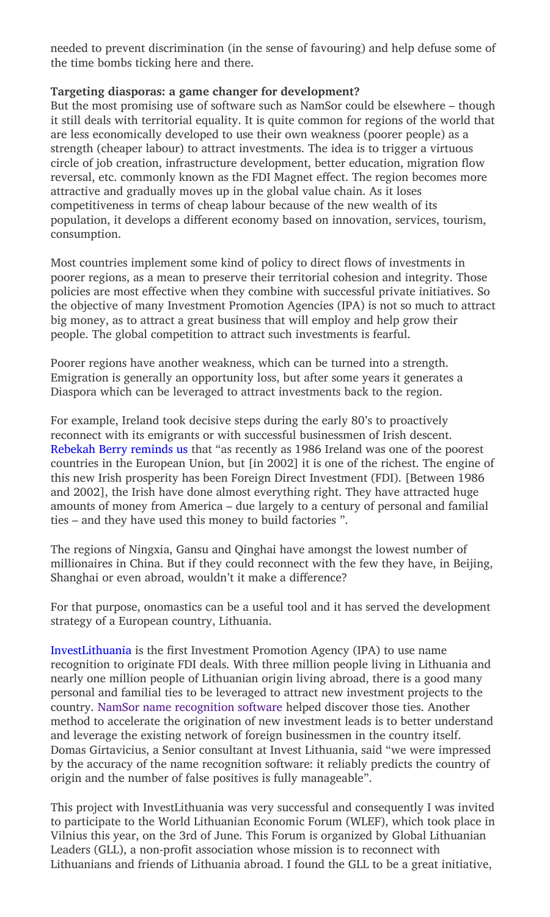needed to prevent discrimination (in the sense of favouring) and help defuse some of the time bombs ticking here and there.

## **Targeting diasporas: a game changer for development?**

But the most promising use of software such as NamSor could be elsewhere – though it still deals with territorial equality. It is quite common for regions of the world that are less economically developed to use their own weakness (poorer people) as a strength (cheaper labour) to attract investments. The idea is to trigger a virtuous circle of job creation, infrastructure development, better education, migration flow reversal, etc. commonly known as the FDI Magnet effect. The region becomes more attractive and gradually moves up in the global value chain. As it loses competitiveness in terms of cheap labour because of the new wealth of its population, it develops a di�erent economy based on innovation, services, tourism, consumption.

Most countries implement some kind of policy to direct flows of investments in poorer regions, as a mean to preserve their territorial cohesion and integrity. Those policies are most e�ective when they combine with successful private initiatives. So the objective of many Investment Promotion Agencies (IPA) is not so much to attract big money, as to attract a great business that will employ and help grow their people. The global competition to attract such investments is fearful.

Poorer regions have another weakness, which can be turned into a strength. Emigration is generally an opportunity loss, but after some years it generates a Diaspora which can be leveraged to attract investments back to the region.

For example, Ireland took decisive steps during the early 80's to proactively reconnect with its emigrants or with successful businessmen of Irish descent. Rebekah Berry reminds us that "as recently as 1986 Ireland was one of the poorest countries in the European Union, but [in 2002] it is one of the richest. The engine of this new Irish prosperity has been Foreign Direct Investment (FDI). [Between 1986 and 2002], the Irish have done almost everything right. They have attracted huge amounts of money from America – due largely to a century of personal and familial ties – and they have used this money to build factories ".

The regions of Ningxia, Gansu and Qinghai have amongst the lowest number of millionaires in China. But if they could reconnect with the few they have, in Beijing, Shanghai or even abroad, wouldn't it make a difference?

For that purpose, onomastics can be a useful tool and it has served the development strategy of a European country, Lithuania.

InvestLithuania is the first Investment Promotion Agency (IPA) to use name recognition to originate FDI deals. With three million people living in Lithuania and nearly one million people of Lithuanian origin living abroad, there is a good many personal and familial ties to be leveraged to attract new investment projects to the country. NamSor name recognition software helped discover those ties. Another method to accelerate the origination of new investment leads is to better understand and leverage the existing network of foreign businessmen in the country itself. Domas Girtavicius, a Senior consultant at Invest Lithuania, said "we were impressed by the accuracy of the name recognition software: it reliably predicts the country of origin and the number of false positives is fully manageable".

This project with InvestLithuania was very successful and consequently I was invited to participate to the World Lithuanian Economic Forum (WLEF), which took place in Vilnius this year, on the 3rd of June. This Forum is organized by Global Lithuanian Leaders (GLL), a non-profit association whose mission is to reconnect with Lithuanians and friends of Lithuania abroad. I found the GLL to be a great initiative,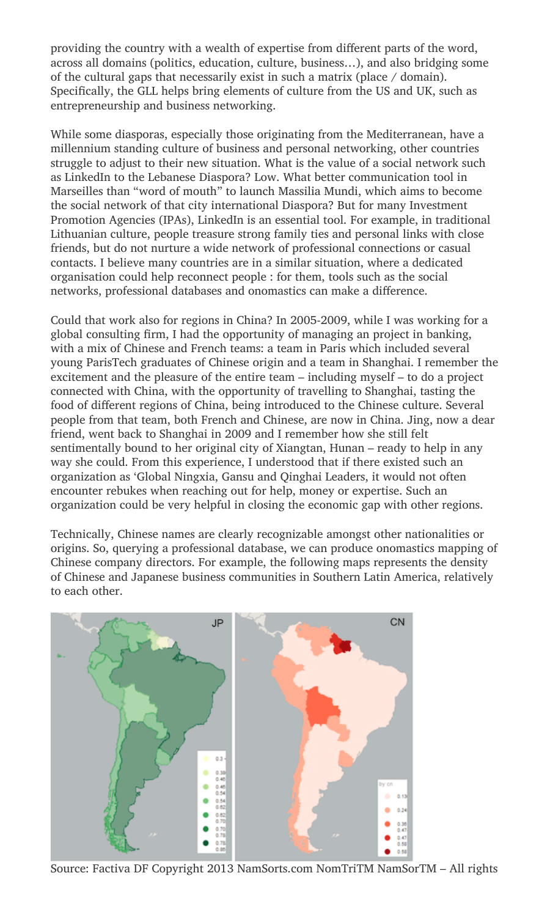providing the country with a wealth of expertise from different parts of the word, across all domains (politics, education, culture, business…), and also bridging some of the cultural gaps that necessarily exist in such a matrix (place / domain). Specifically, the GLL helps bring elements of culture from the US and UK, such as entrepreneurship and business networking.

While some diasporas, especially those originating from the Mediterranean, have a millennium standing culture of business and personal networking, other countries struggle to adjust to their new situation. What is the value of a social network such as LinkedIn to the Lebanese Diaspora? Low. What better communication tool in Marseilles than "word of mouth" to launch Massilia Mundi, which aims to become the social network of that city international Diaspora? But for many Investment Promotion Agencies (IPAs), LinkedIn is an essential tool. For example, in traditional Lithuanian culture, people treasure strong family ties and personal links with close friends, but do not nurture a wide network of professional connections or casual contacts. I believe many countries are in a similar situation, where a dedicated organisation could help reconnect people : for them, tools such as the social networks, professional databases and onomastics can make a difference.

Could that work also for regions in China? In 2005-2009, while I was working for a global consulting �rm, I had the opportunity of managing an project in banking, with a mix of Chinese and French teams: a team in Paris which included several young ParisTech graduates of Chinese origin and a team in Shanghai. I remember the excitement and the pleasure of the entire team – including myself – to do a project connected with China, with the opportunity of travelling to Shanghai, tasting the food of di�erent regions of China, being introduced to the Chinese culture. Several people from that team, both French and Chinese, are now in China. Jing, now a dear friend, went back to Shanghai in 2009 and I remember how she still felt sentimentally bound to her original city of Xiangtan, Hunan – ready to help in any way she could. From this experience, I understood that if there existed such an organization as 'Global Ningxia, Gansu and Qinghai Leaders, it would not often encounter rebukes when reaching out for help, money or expertise. Such an organization could be very helpful in closing the economic gap with other regions.

Technically, Chinese names are clearly recognizable amongst other nationalities or origins. So, querying a professional database, we can produce onomastics mapping of Chinese company directors. For example, the following maps represents the density of Chinese and Japanese business communities in Southern Latin America, relatively to each other.



Source: Factiva DF Copyright 2013 NamSorts.com NomTriTM NamSorTM – All rights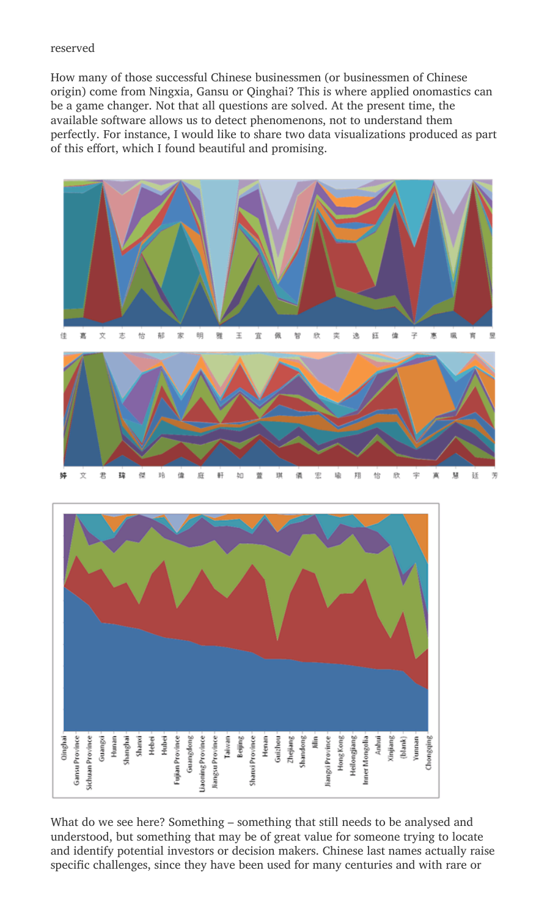### reserved

How many of those successful Chinese businessmen (or businessmen of Chinese origin) come from Ningxia, Gansu or Qinghai? This is where applied onomastics can be a game changer. Not that all questions are solved. At the present time, the available software allows us to detect phenomenons, not to understand them perfectly. For instance, I would like to share two data visualizations produced as part of this effort, which I found beautiful and promising.





What do we see here? Something – something that still needs to be analysed and understood, but something that may be of great value for someone trying to locate and identify potential investors or decision makers. Chinese last names actually raise specific challenges, since they have been used for many centuries and with rare or